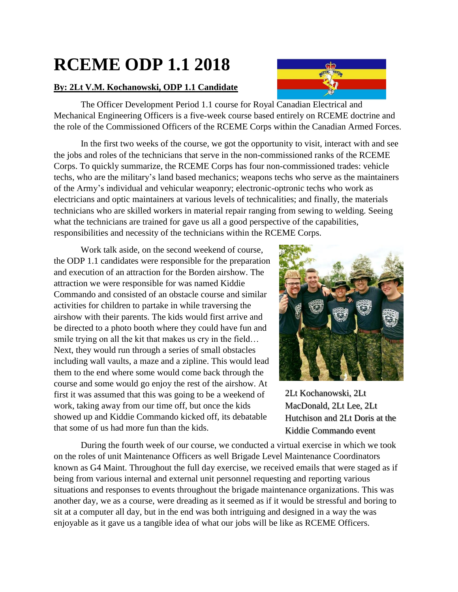## **RCEME ODP 1.1 2018**

## **By: 2Lt V.M. Kochanowski, ODP 1.1 Candidate**

The Officer Development Period 1.1 course for Royal Canadian Electrical and Mechanical Engineering Officers is a five-week course based entirely on RCEME doctrine and the role of the Commissioned Officers of the RCEME Corps within the Canadian Armed Forces.

In the first two weeks of the course, we got the opportunity to visit, interact with and see the jobs and roles of the technicians that serve in the non-commissioned ranks of the RCEME Corps. To quickly summarize, the RCEME Corps has four non-commissioned trades: vehicle techs, who are the military's land based mechanics; weapons techs who serve as the maintainers of the Army's individual and vehicular weaponry; electronic-optronic techs who work as electricians and optic maintainers at various levels of technicalities; and finally, the materials technicians who are skilled workers in material repair ranging from sewing to welding. Seeing what the technicians are trained for gave us all a good perspective of the capabilities, responsibilities and necessity of the technicians within the RCEME Corps.

Work talk aside, on the second weekend of course, the ODP 1.1 candidates were responsible for the preparation and execution of an attraction for the Borden airshow. The attraction we were responsible for was named Kiddie Commando and consisted of an obstacle course and similar activities for children to partake in while traversing the airshow with their parents. The kids would first arrive and be directed to a photo booth where they could have fun and smile trying on all the kit that makes us cry in the field… Next, they would run through a series of small obstacles including wall vaults, a maze and a zipline. This would lead them to the end where some would come back through the course and some would go enjoy the rest of the airshow. At first it was assumed that this was going to be a weekend of work, taking away from our time off, but once the kids showed up and Kiddie Commando kicked off, its debatable that some of us had more fun than the kids.



2Lt Kochanowski, 2Lt MacDonald, 2Lt Lee, 2Lt Hutchison and 2Lt Doris at the Kiddie Commando event

During the fourth week of our course, we conducted a virtual exercise in which we took on the roles of unit Maintenance Officers as well Brigade Level Maintenance Coordinators known as G4 Maint. Throughout the full day exercise, we received emails that were staged as if being from various internal and external unit personnel requesting and reporting various situations and responses to events throughout the brigade maintenance organizations. This was another day, we as a course, were dreading as it seemed as if it would be stressful and boring to sit at a computer all day, but in the end was both intriguing and designed in a way the was enjoyable as it gave us a tangible idea of what our jobs will be like as RCEME Officers.